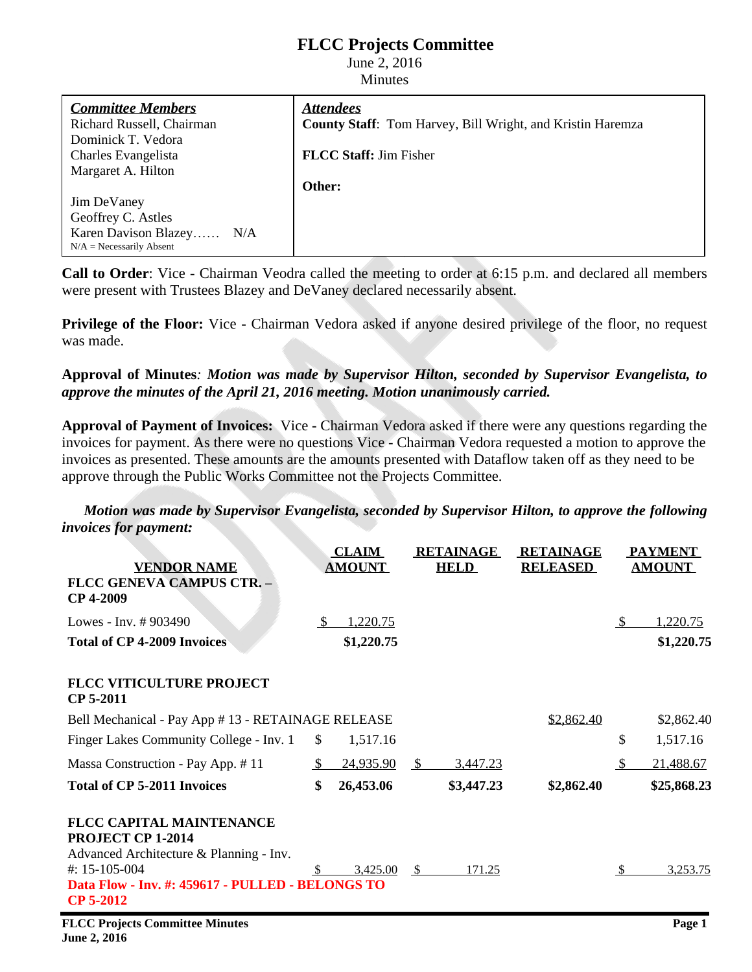## **FLCC Projects Committee**

June 2, 2016 Minutes

*Committee Members* Richard Russell, Chairman Dominick T. Vedora Charles Evangelista Margaret A. Hilton Jim DeVaney Geoffrey C. Astles Karen Davison Blazey…… N/A  $N/A = Necessarily$  Absent *Attendees* **County Staff**: Tom Harvey, Bill Wright, and Kristin Haremza **FLCC Staff:** Jim Fisher **Other:**

**Call to Order**: Vice - Chairman Veodra called the meeting to order at 6:15 p.m. and declared all members were present with Trustees Blazey and DeVaney declared necessarily absent.

**Privilege** of the Floor: Vice **-** Chairman Vedora asked if anyone desired privilege of the floor, no request was made.

**Approval of Minutes***: Motion was made by Supervisor Hilton, seconded by Supervisor Evangelista, to approve the minutes of the April 21, 2016 meeting. Motion unanimously carried.*

**Approval of Payment of Invoices:** Vice **-** Chairman Vedora asked if there were any questions regarding the invoices for payment. As there were no questions Vice - Chairman Vedora requested a motion to approve the invoices as presented. These amounts are the amounts presented with Dataflow taken off as they need to be approve through the Public Works Committee not the Projects Committee.

*Motion was made by Supervisor Evangelista, seconded by Supervisor Hilton, to approve the following invoices for payment:*

|                                                                                                                                                                                                   |              | <b>CLAIM</b>    |     | <b>RETAINAGE</b> | <b>RETAINAGE</b> |               | <b>PAYMENT</b> |
|---------------------------------------------------------------------------------------------------------------------------------------------------------------------------------------------------|--------------|-----------------|-----|------------------|------------------|---------------|----------------|
| <b>VENDOR NAME</b><br><b>FLCC GENEVA CAMPUS CTR. -</b><br>CP 4-2009                                                                                                                               |              | <b>AMOUNT</b>   |     | <b>HELD</b>      | <b>RELEASED</b>  |               | <b>AMOUNT</b>  |
| Lowes - Inv. #903490                                                                                                                                                                              | -S           | 1,220.75        |     |                  |                  | <sup>\$</sup> | 1,220.75       |
| <b>Total of CP 4-2009 Invoices</b>                                                                                                                                                                |              | \$1,220.75      |     |                  |                  |               | \$1,220.75     |
| <b>FLCC VITICULTURE PROJECT</b><br>CP 5-2011                                                                                                                                                      |              |                 |     |                  |                  |               |                |
| Bell Mechanical - Pay App # 13 - RETAINAGE RELEASE                                                                                                                                                |              |                 |     |                  | \$2,862.40       |               | \$2,862.40     |
| Finger Lakes Community College - Inv. 1                                                                                                                                                           | $\mathbb{S}$ | 1,517.16        |     |                  |                  | \$            | 1,517.16       |
| Massa Construction - Pay App. #11                                                                                                                                                                 | -S           | 24,935.90       | \$  | 3,447.23         |                  | $\mathbb{S}$  | 21,488.67      |
| <b>Total of CP 5-2011 Invoices</b>                                                                                                                                                                | \$           | 26,453.06       |     | \$3,447.23       | \$2,862.40       |               | \$25,868.23    |
| <b>FLCC CAPITAL MAINTENANCE</b><br><b>PROJECT CP 1-2014</b><br>Advanced Architecture & Planning - Inv.<br>#: $15-105-004$<br>Data Flow - Inv. #: 459617 - PULLED - BELONGS TO<br><b>CP 5-2012</b> |              | <u>3,425.00</u> | - S | <u>171.25</u>    |                  | <sup>\$</sup> | 3,253.75       |
| <b>FLCC Projects Committee Minutes</b>                                                                                                                                                            |              |                 |     |                  |                  |               | Page 1         |